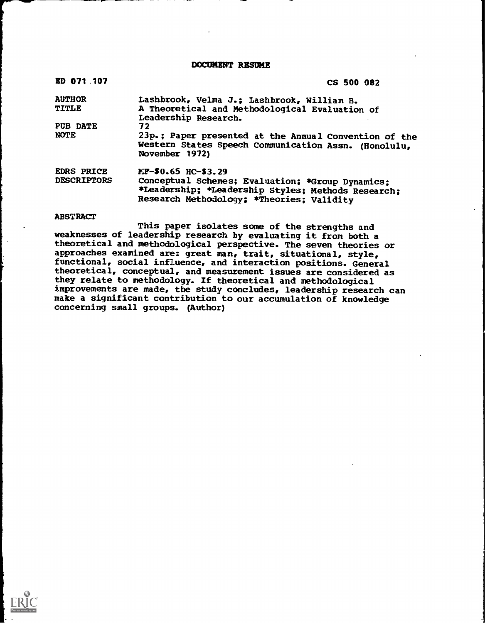DOCUMENT RESUME

| ED 071.107                              | CS 500 082                                                                                                                                                                 |  |
|-----------------------------------------|----------------------------------------------------------------------------------------------------------------------------------------------------------------------------|--|
| <b>AUTHOR</b>                           | Lashbrook, Velma J.; Lashbrook, William B.                                                                                                                                 |  |
| <b>TITLE</b>                            | A Theoretical and Methodological Evaluation of<br>Leadership Research.                                                                                                     |  |
| PUB DATE                                | 72                                                                                                                                                                         |  |
| <b>NOTE</b>                             | 23p.; Paper presented at the Annual Convention of the<br>Western States Speech Communication Assn. (Honolulu,<br>November 1972)                                            |  |
| <b>EDRS PRICE</b><br><b>DESCRIPTORS</b> | KF-\$0.65 HC-\$3.29<br>Conceptual Schemes; Evaluation; *Group Dynamics;<br>*Leadership; *Leadership Styles; Methods Research;<br>Research Methodology; *Theories; Validity |  |

#### **ABSTRACT**

This paper isolates some of the strengths and weaknesses of leadership research by evaluating it from both a theoretical and methodological perspective. The seven theories or approaches examined are: great man, trait, situational, style, functional, social influence, and interaction positions. General theoretical, conceptual, and measurement issues are considered as they relate to methodology. If theoretical and methodological improvements are made, the study concludes, leadership research can make a significant contribution to our accumulation of knowledge concerning small groups. (Author)

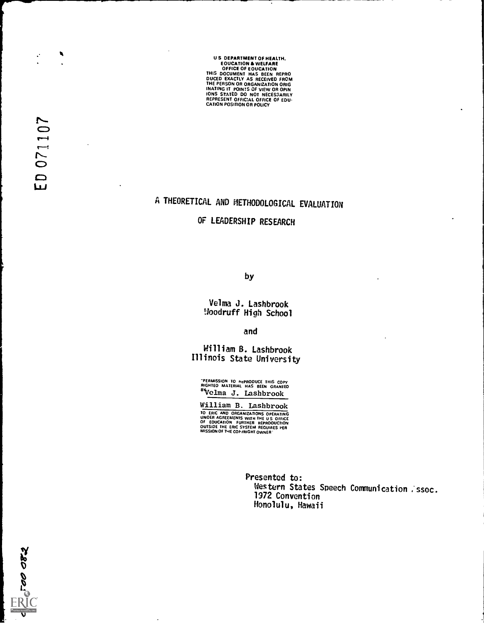US DEPARTMENT OF HEALTH.<br>
EQUCATION & WELFARE<br>
OFFICE OF EQUCATION<br>
THIS DOCUMENT HAS BEEN REPRO<br>
DUCED EXACTLY AS RECEIVED FROM<br>
DUCED EXACTLY AS RECEIVED FROM<br>
THE PERSON OR ORIGANIZATION ORIGINATION<br>
IONS STATED DO NOT

# A THEORETICAL AND METHODOLOGICAL EVALUATION

OF LEADERSHIP RESEARCH

by

Velma J. Lashbrook Uoodruff High School

and

William B. Lashbrook Illinois State University

-PERMISSION TO pePRODUCE THIS COPY RIGHTED MATERIAL HAS SEEN GRANTED 'Velma J. Lashbrook

William B. Lashbrook TO ERIC AND ORGANIZATIONS OPERATING<br>UNOER AGREEMENTS WITH THE US OFFICE<br>OF EOUCATION FURTHER REPRODUCTION<br>OUTSIOE THE ERIC SYSTEM REQUIRES PER<br>MISSION OF THE COP(RIGHT OWNER

> Presented to: Western States Speech Communication . ssoc. 1972 Convention Honolulu, Hawaii

 $\frac{1}{\sqrt{2}}$ 

 $\boldsymbol{\cdot}$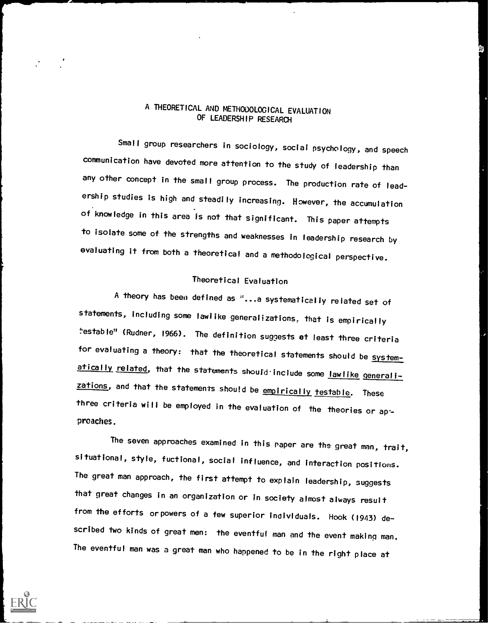# A THEORETICAL AND METHODOLOGICAL EVALUATION OF LEADERSHIP RESEARCH

Small group researchers in sociology, social psychology, and speech communication have devoted more attention to the study of leadership than any other concept in the small group process. The production rate of leadership studies is high and steadily increasing. However, the accumulation of knowledge in this area is not that significant. This paper attempts to isolate some of the strengths and weaknesses in leadership research by evaluating it from both a theoretical and a methodological perspective.

## Theoretical Evaluation

A theory has been defined as "...a systematically related set of statements, including some lawlike generalizations, that is empirically testable" (Rudner, 1966). The definition suggests at least three criteria for evaluating a theory: that the theoretical statements should be systematically related, that the statements should include some lawlike generalizations, and that the statements should be empirically testable. These three criteria will be employed in the evaluation of the theories or appreaches.

The seven approaches examined in this paper are the great man, trait, situational, style, fuctional, social influence, and interaction positions. The great man approach, the first attempt to explain leadership, suggests that great changes in an organization or in society almost always result from the efforts or powers of a few superior individuals. Hook (1943) described two kinds of great men: the eventful man and the event making man. The eventful man was a great man who happened to be in the right place at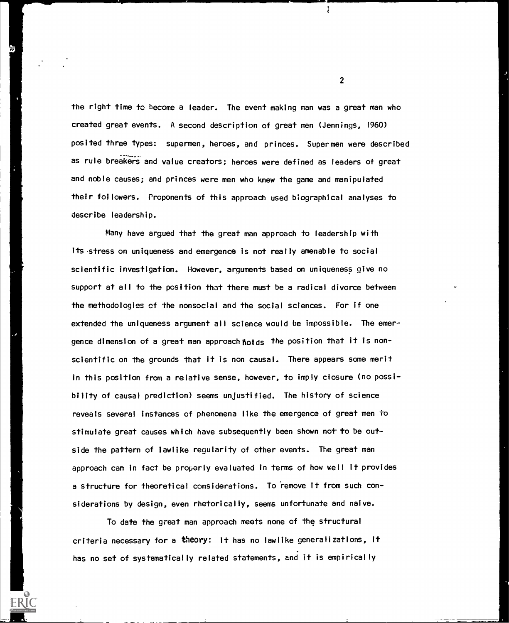the right time to become a leader. The event making man was a great man who created great events. A second description of great men (Jennings, 1960) posited three types: supermen, heroes, and princes. Supermen were described position three types. Supermen, heroes, and princes. Superment were described<br>as rule breakers and value creators; heroes were defined as leaders of great and noble causes; and princes were men who knew the game and manipulated their followers. Proponents of this approach used biographical analyses to describe leadership.

Many have argued that the great man approach to leadership with its stress on uniqueness and emergence is not really amenable to social scientific investigation. However, arguments based on uniqueness give no support at all to the position that there must be a radical divorce between the methodologies of the nonsocial and the social sciences. For if one extended the uniqueness argument all science would be impossible. The emergence dimension of a great man approach holds the position that it is nonscientific on the grounds that it is non causal. There appears some merit in this position from a relative sense, however, to imply closure (no possibility of causal prediction) seems unjustified. The history of science reveals several instances of phenomena like the emergence of great men to stimulate great causes which have subsequently been shown not to be outside the pattern of lawlike regularity of other events. The great man approach can in fact be properly evaluated in terms of how well it provides a structure for theoretical considerations. To remove it from such considerations by design, even rhetorically, seems unfortunate and naive.

To date the great man approach meets none of the structural criteria necessary for a theory: it has no lawlike generalizations, it has no set of systematically related statements, and it is empirically

 $\overline{2}$ 

 $\ddot{\cdot}$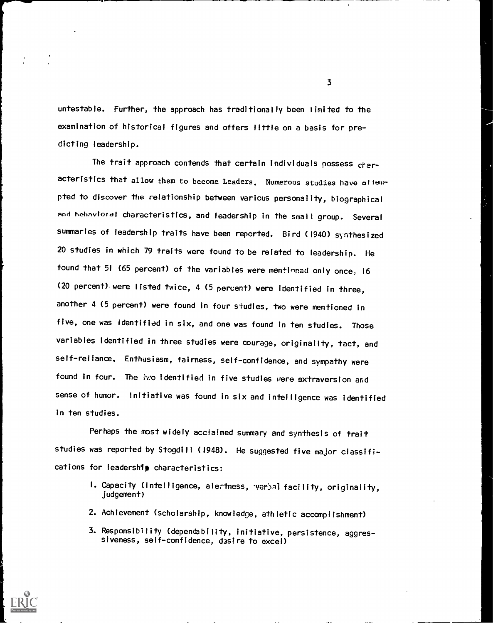untestable. Further, the approach has traditionally been limited to the examination of historical figures and offers little on a basis for predicting leadership.

The trait approach contends that certain individuals possess characteristics that allow them to become Leaders. Numerous studies have attempted to discover the relationship between various personality, biographical and hahaviordi characteristics, and leadership in the small group. Several summaries of leadership traits have been reported. Bird (1940) synthesized 20 studies in which 79 traits were found to be related to leadership. He found that 51 (65 percent) of the variables were mentioned only once, 16 (20 percent) were listed twice, 4 (5 percent) were identified in three, another 4 (5 percent) were found in four studies, two were mentioned in five, one was identified in six, and one was found in ten studies. Those variables identified in three studies were courage, originality, tact, and self-reliance. Enthusiasm, fairness, self-confidence, and sympathy were found in four. The ixo identified in five studies vere extraversion and sense of humor. Initiative was found in six and intelligence was identified in ten studies.

Perhaps the most widely acclaimed summary and synthesis of trait studies was reported by Stogdill (1948). He suggested five major classifications for leadership characteristics:

- 1. Capacity (intelligence, alertness, verbal facility, originality, judgement)
- 2. Achievement (scholarship, knowledge, athletic accomplishment)
- 3. Responsibility (dependability, initiative, persistence, aggressiveness, self-confidence, desire to excel)



 $\overline{\mathbf{3}}$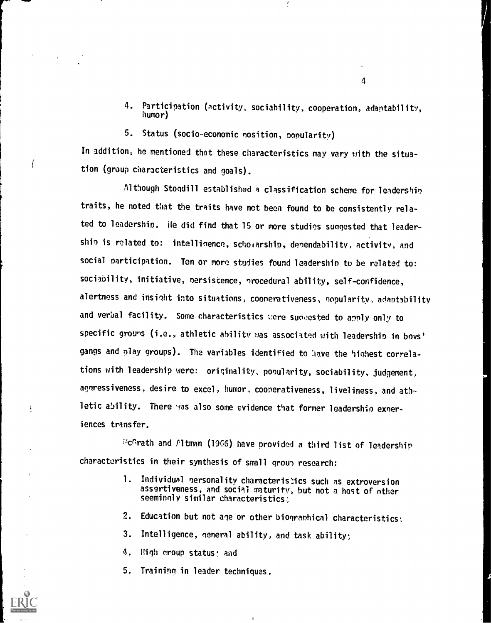- 4. Participation (activity, sociability, cooperation, adaptability, humor)
- 5. Status (socio-economic nosition, popularity)

In addition, he mentioned that these characteristics may vary with the situation (group characteristics and goals).

Although Stogdill established a classification scheme for leadership traits, he noted that the traits have not been found to be consistently related to leadership. He did find that 15 or more studies sungested that leadership is related to: intelligence, scholarship, dependability, activity, and social participation. Ten or more studies found leadership to be related to: sociability, initiative, nersistence, nrocedural ability, self-confidence, alertness and insight into situations, coonerativeness, nopularitv, adaptability and verbal facility. Some characteristics were suquested to apply only to specific grouns (i.e., athletic ability was associated with leadership in boys' gangs and play groups). The variables identified to have the highest correlations with leadership were: originality, ponularity, sociability, judgement, aggressiveness, desire to excel, humor, cooperativeness, liveliness, and athletic ability. There was also some evidence that former leadership exneriences transfer.

EGrath and Pltman (1965) have provided a third list of leadership characteristics in their synthesis of small grow) research:

- 1. Individual nersonality characteristics such as extroversion assertiveness, and social maturity, but not a host of other seemingly similar characteristics;
- 2. Education but not age or other biographical characteristics;
- 3. Intelligence, general ability, and task ability;
- 4. High group status; and

 $\frac{1}{2}$ 

5. Training in leader techniques.

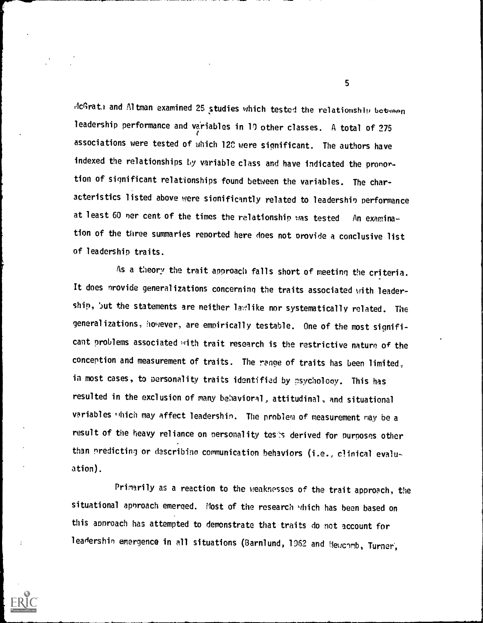AcGrat) and Altman examined 25 studies which tested the relationship between leadership performance and variables in 10 other classes. A total of 275 associations were tested of which 12C were significant. The authors have indexed the relationships by variable class and have indicated the pronor. tion of significant relationships found between the variables. The characteristics listed above were sionificantly related to leadershin performance at least 60 ner cent of the times the relationship was tested An examination of the three summaries reported here does not provide a conclusive list of leadership traits.

As a theory the trait approach falls short of meeting the criteria. It does nrovide generalizations concerning the traits associated with leadership, but the statements are neither lawlike nor systematically related. The generalizations, however, are empirically testable. One of the most significant problems associated with trait research is the restrictive nature of the conception and measurement of traits. The range of traits has been limited, in most cases, to personality traits identified by psychology. This has resulted in the exclusion of many behavioral, attitudinal, and situational variables "hich may affect leadershin. The problem of measurement may be a result of the heavy reliance on personality tess derived for purposes other than predicting or describing communication behaviors (i.e., clinical evaluation).

Prinarily as a reaction to the weaknesses of the trait approach, the situational approach emerged. Most of the research which has been based on this approach has attempted to demonstrate that traits do not account for leadershin emergence in all situations (Barnlund, 1962 and Neucomb, Turner,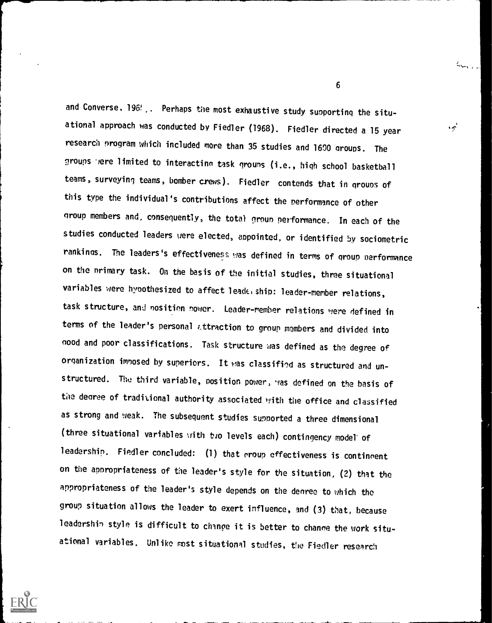and Converse, 196'. Perhaps the most exhaustive study supporting the situational approach was conducted by Fiedler (1968). Fiedler directed a 15 year research program which included more than 35 studies and 1600 groups. The groups were limited to interacting task groups (i.e., high school basketball teams, surveying teams, bomber crews). Fiedler contends that in groups of this type the individual's contributions affect the performance of other group members and, consequently, the total eroun performance. In each of the studies conducted leaders uere elected, appointed, or identified by sociometric rankings. The leaders's effectiveness was defined in terms of group performance on the nrimary task. On the basis of the initial studies, three situational variables were hypothesized to affect leade. ship: leader-member relations, task structure, and nosition nower. Leader-member relations were defined in terms of the leader's personal ettraction to group members and divided into good and poor classifications. Task structure was defined as the degree of organization imnosed by superiors. It was classified as structured and unstructured. The third variable, position power, was defined on the basis of the degree of traditional authority associated with the office and classified as strong and weak. The subsequent studies supported a three dimensional (three situational variables with two levels each) contingency model of leadership. Fiedler concluded: (1) that group effectiveness is contingent on the appropriateness of the leader's style for the situation, (2) that the appropriateness of the leader's style depends on the degree to which the group situation allows the leader to exert influence, and (3) that, because leadership style is difficult to change it is better to change the work situational variables. Unlike most situational studies, the Fiedler research



 $\sigma$  and  $\sigma$ 

'

 $\frac{d}{dt} \sum_{i=1}^n \sum_{j=1}^n \frac{1}{\|x_j\|^2} \sum_{j=1}^n \frac{1}{\|x_j\|^2} \sum_{j=1}^n \frac{1}{\|x_j\|^2} \sum_{j=1}^n \frac{1}{\|x_j\|^2} \sum_{j=1}^n \frac{1}{\|x_j\|^2} \sum_{j=1}^n \frac{1}{\|x_j\|^2} \sum_{j=1}^n \frac{1}{\|x_j\|^2} \sum_{j=1}^n \frac{1}{\|x_j\|^2} \sum_{j=1}^n \frac{1}{\|x_j\|^2} \sum_{j=1$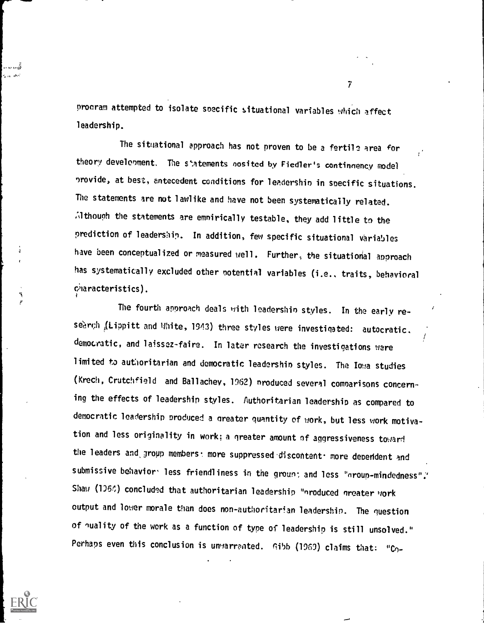proeram attempted to isolate soecific situational variables which affect leadership.

The situational approach has not proven to be a fertile area for theory develooment. The statements nosited by Fiedler's continnency model nrovide, at best, antecedent conditions for leadershin in specific situations. The statements are not lawlike and have not been systematically related. Although the statements are empirically testable, they add little to the prediction of leadership. In addition, few specific situational variables have been conceptualized or measured well. Further, the situational approach has systematically excluded other notential variables (i.e., traits, behavioral 6aracteristics).

The fourth approach deals with leadershin styles. In the early research (Lippitt and White, 1943) three styles were investigated: autocratic. democratic, and laissez-faire. In later research the investigations were limited to authoritarian and democratic leadershin styles. The Iowa studies (Krech, Crutchfield and Ballachev, 1962) nroduced several comparisons concerning the effects of leadership styles. Authoritarian leadership as compared to democratic leadership produced a greater quantity of work, but less work motivation and less originality in work; a greater amount of aggressiveness toward the leaders and group members: more suppressed discontent. more deperident and submissive behavior less friendliness in the groun; and less "group-mindedness". Shaw (1964) concluded that authoritarian leadership "nroduced greater work output and lower morale than does non-authoritarian leadershin. The question of quality of the work as a function of type of leadership is still unsolved." Perhaps even this conclusion is unwarrented.  $Gibb$  (1969) claims that: "Co-



 $\mathcal{T}$  and  $\mathcal{T}$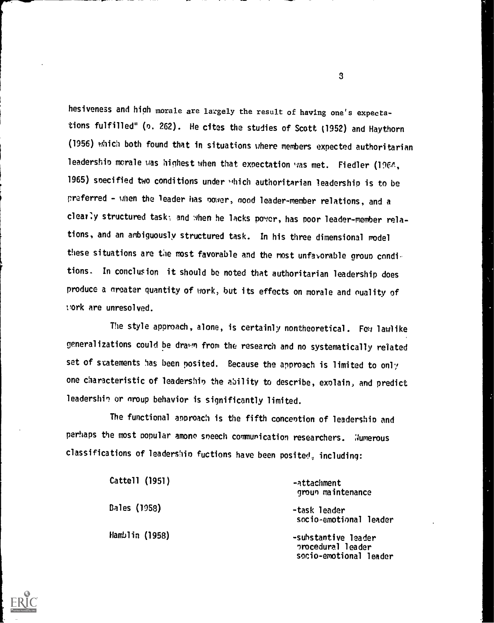hesiveness and high morale are largely the result of having one's expectations fulfilled" (o. 262). He cites the studies of Scott (1952) and Haythorn (1956) which both found that in situations where members expected authoritarian leadership morale was highest when that expectation was met. Fiedler (1964, 1965) specified two conditions under which authoritarian leadership is to be preferred - when the leader has oower, mod leader-member relations, and a clearly structured task; and when he lacks power, has poor leader-member relations, and an ambiguously structured task. In his three dimensional model these situations are the most favorable and the most unfavorable group conditions. In conclusion it should be noted that authoritarian leadership does produce a nreater quantity of work, but its effects on morale and nuality of cork are unresolved.

The style approach, alone, is certainly nontheoretical. Few lawlike generalizations could be drawn from the research and no systematically related set of statements has been posited. Because the approach is limited to only one characteristic of leadership the ability to describe, explain, and predict leadership or group behavior is significantly limited.

The functional approach is the fifth conceotion of leadership and perhaps the most popular among speech communication researchers. Numerous classifications of leadership fuctions have been posited, including:

| Cattell (1951) | -attachment<br>groun maintenance                                   |
|----------------|--------------------------------------------------------------------|
| Bales (1958)   | -task leader<br>socio-emotional leader                             |
| Hamblin (1958) | -substantive leader<br>procedural leader<br>socio-emotional leader |

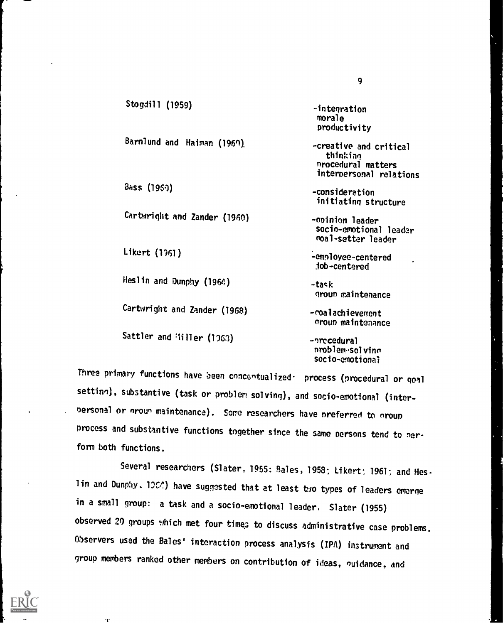| Stogdill (1959)              | -integration                                                                        |
|------------------------------|-------------------------------------------------------------------------------------|
|                              | morale<br>productivity                                                              |
| Barnlund and Haiman (1960)   | -creative and critical<br>thinking<br>nrocedural matters<br>interpersonal relations |
| $B$ ass (1960)               | -consideration<br>initiating structure                                              |
| Cartwright and Zander (1960) | -opinion leader<br>socio-emotional leader<br>moal-setter leader                     |
| Likert (1961)                | -employee-centered<br>.job-centered                                                 |
| Heslin and Dunphy (1964)     | -task<br>group maintenance                                                          |
| Cartwright and Zander (1968) | -coalachievement<br>group maintenance                                               |
| Sattler and Hiller (1963)    | -precedural<br>nroblem-solving<br>socio-emotional                                   |

Three primary functions have been cnncentualized- process (procedural or goal settinn), substantive (task or problem solving), and socio-emotional (interpersonal or groun maintenance). Some researchers have preferred to group process and substantive functions together since the same persons tend to nerform both functions.

Several researchers (Slater, 1955: Bales, 1958; Likert; 1961; and Hes. lin and Dunphy. 1004) have suggested that at least two types of leaders emerge in a small group: a task and a socio-emotional leader. Slater (1955) observed 20 groups which met four times to discuss administrative case problems. Observers used the Bales' interaction process analysis (IPA) instrument and group members ranked other members on contribution of ideas, ouidance, and

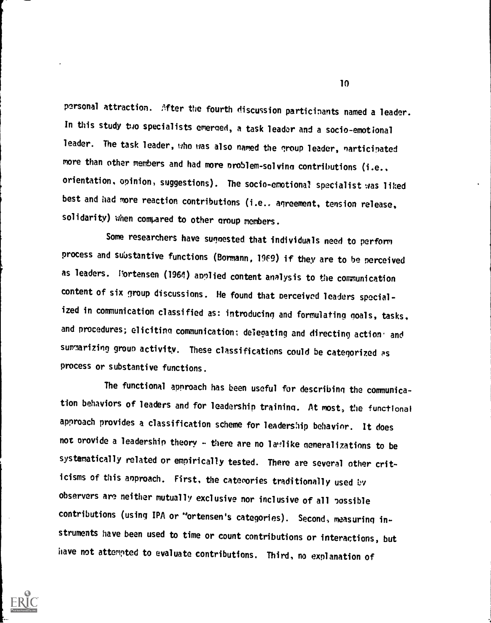personal attraction. After the fourth discussion participants named a leader. In this study two specialists emerged, a task leader and a socio-emotional leader. The task leader, who was also named the group leader, narticipated more than other members and had more problem-solving contributions (i.e., orientation, opinion, suggestions). The socio-emotional specialist was liked best and had more reaction contributions (i.e.. agreement, tension release, solidarity) when compared to other group members.

Some researchers have sugnested that individuals need to perform process and substantive functions (Bormann, 19F9) if they are to be perceived as leaders. Vortensen (1964) applied content analysis to the communication content of six group discussions. He found that nerceivod leaders specialized in communication classified as: introducing and formulating goals, tasks, and procedures; eliciting communication; delegating and directing action: and summarizing group activity. These classifications could be categorized as process or substantive functions.

The functional approach has been useful for describing the communication behaviors of leaders and for leadership training. At most, the functional approach provides a classification scheme for leadership behavior. It does not orovide a leadership theory - there are no lawlike generalizations to be systematically related or empirically tested. There are several other criticisms of this anproach. First, the categories traditionally used by observers are neither mutually exclusive nor inclusive of all possible contributions (using IPA or "ortensen's categories). Second, measuring instruments have been used to time or count contributions or interactions, but have not attempted to evaluate contributions. Third, no explanation of

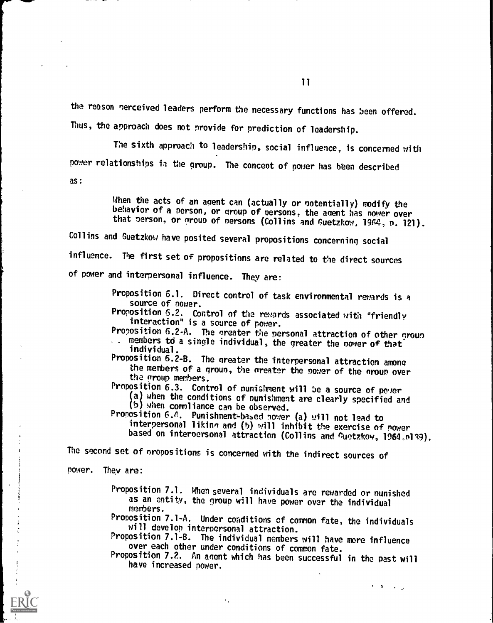the reason nerceived leaders perform the necessary functions has been offered.

Thus, the approach does not provide for prediction of leadership.

The sixth approach to leadership, social influence, is concerned with power relationships ia the group. The concept of power has been described

as:

When the acts of an agent can (actually or potentially) modify the behavior of a person, or group of persons, the agent has power over that person, or group of persons (Collins and Guetzkow, 1964, n. 121).

Collins and Guetzkow have posited several propositions concerning social influence. The first set of propositions are related to the direct sources of power and interpersonal influence. They are:

> Proposition 6.1. Direct control of task environmental rewards is a source of nower.

Proposition 6.2. Control of the rewards associated with "friendly interaction" is a source of power.

Proposition 6.2-A. The greater the personal attraction of other group members to a single individual, the greater the nover of that individual.

Proposition 6.2-B. The nreater the interpersonal attraction among the members of a group, the areater the nower of the nroun over the group members.

Proposition 6.3. Control of nunishment will be a source of power

(a) when the conditions of nunishment are clearly specified and (b) when comnliance can be observed.

Proposition 6.A. Punishment-based power (a) will not lead to interpersonal liking and (b) will inhibit the exercise of nower based on interpersonal attraction (Collins and Guetzkow, 1964,p139).

The second set of nropositions is concerned with the indirect sources of

 $\epsilon$ 

power. They are:

Proposition 7.1. When several individuals are rewarded or nunished as an entity, the group will have power over the individual members.

Proposition 7.1-A. Under conditions of common fate, the individuals will develop interpersonal attraction.

Proposition 7.1-B. The individual members will have more influence over each other under conditions of common fate.

Proposition 7.2. An anent which has been successful in the past will have increased power.

 $\mathbf{1} \cdot \mathbf{1} \cdot \mathbf{1} \cdot \mathbf{1}$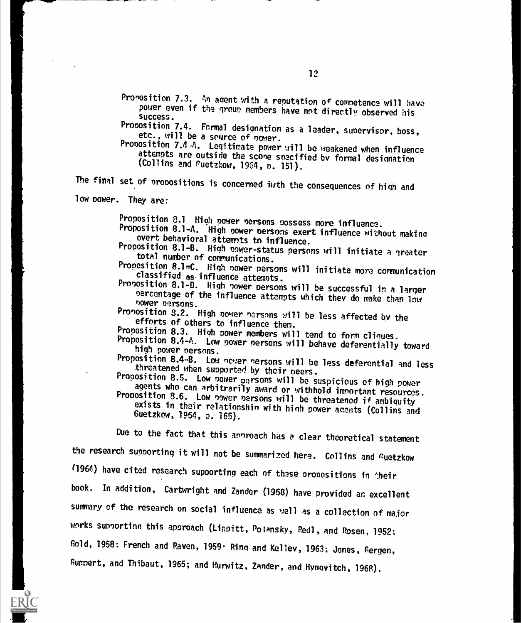Pronosition 7.3. An agent with a reputation of competence will have power even if the group members have not directly observed his success.

Proposition 7.4. Formal designation as a leader, suoervisor, boss, etc., will be a source of nower.

Proposition 7.4-A. Legitimate power will be weakened when influence attempts are outside the scone snecified by formal designation (Collins and Puetzkow, 1964, n. 151).

The final set of propositions is concerned iwth the consequences of high and

low power. They are:

Proposition 2.1 High power persons possess more influence.

Proposition 8.1-A. High nower persons exert influence without making overt behavioral attemots to influence.

Proposition 8.1-B. High nower-status persons will initiate a greater total number of communications.

Proposition 8.1=C. High nower nersons will initiate more communication classified as influence attemnts.

Proposition 8.1-D. High power persons will be successful in a larger percentage of the influence attempts which they do make than low cower oersons.

Proposition 8.2. High no!er narsnns will be less affected by the efforts of others to influence them.

Proposition 8.3. High power members will tend to form cliques.

Proposition 8.4-A. Low power nersons will behave deferentially toward high power persons.

Proposition 8.4-B. Low newer nersons will be less deferential and less<br>threatened when supported by their peers.<br>Proposition 8.5. Low power persons will be suspicious of high power

agents who can arbitrarily award or withhold important resources.<br>Proposition 8.6. Low power persons will be threatened if ambiguity<br>exists in their relationship with high power agents (Collins and<br>Guetzkow, 1954, p. 165).

Due to the fact that this annroach has a clear theoretical statement

the research supporting it will not be summarized here. Collins and Guetzkow

(1964) have cited research supporting each of these propositions in their

book. In addition, Cartwright and Zander (1968) have provided an excellent

summary of the research on social influence as well as a collection of major

works sunoortinn this approach (Lippitt, Polansky, Redl, and Rosen, 1952;

Gold, 1958: French and Raven, 1959 Rind and Kelley, 1963; Jones, Gergen,

Gumnert, and Thibaut, 1965; and Hurwitz, Zander, and Hvmovitch, 1958).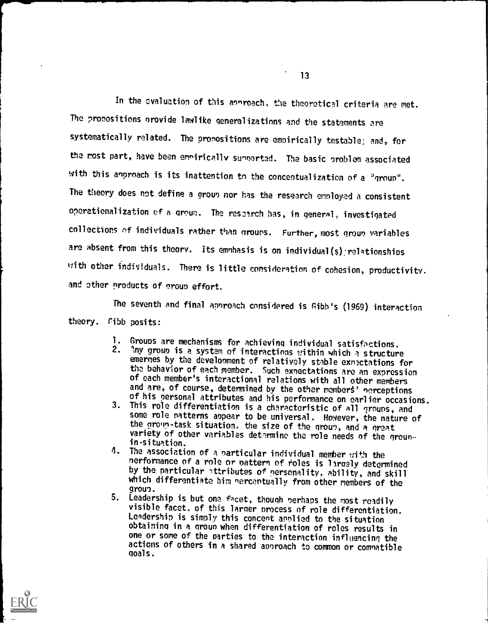In the evaluation of this annroach, the theoretical criteria are met. The pronositions nrovide lawlike generalizations and the statements are systematically related. The pronositions are emnirically testable: and, for the most part, have been emniricelly sunoorted. The basic problem associated with this anproach is its inattention to the concentualization of a "group". The theory does not define a group nor has the research employed a consistent operationalization of a grow;. The research has, in general, investigated collections of individuals rather than grouns. Further, most groun variables are absent from this theory. Its emnhasis is on individual(s) relationships with other individuals. There is little consideration of cohesion, productivity. and other products of erouo effort.

The seventh and final approach considered is Gibb's (1969) interaction theory. Cibb posits:

- 1. Groups are mechanisms for achieving individual satisfactions.<br>2. Any group is a system of interactions within which a structure Any group is a system of interactions within which a structure emerges by the development of relatively stable exnectations for the behavior of each member. Such sxnectations are an expression of each member's interactional relations with all other members and are, of course, determined by the other members' nerceptions of his personal attributes and his performance on earlier occasions.
- 3. This role differentiation is a characteristic of all grouns, and some role natterns aopear to be universal. However, the nature of the group-task situation. the size of the group, and a great variety of other variables determine the role needs of the groun-<br>in-situation. in-situetion.
- 4. The association of a oarticular individual member with the nerformance of a role or nattern of roles is lamely determined by the particular attributes of nersonality, ability, and skill which differentiate him nercentually from other members of the<br>group. grow,.
- 5. Leadership is but one facet, though nerhaps the most readily visible facet, of this larger nrocess of role differentiation. Leadership is simply this concent annlied to the situation obtaining in a groun when differentiation of roles results in one or some of the parties to the interaction influencing the actions of others in a shared aonroach to common or comnatible goals.

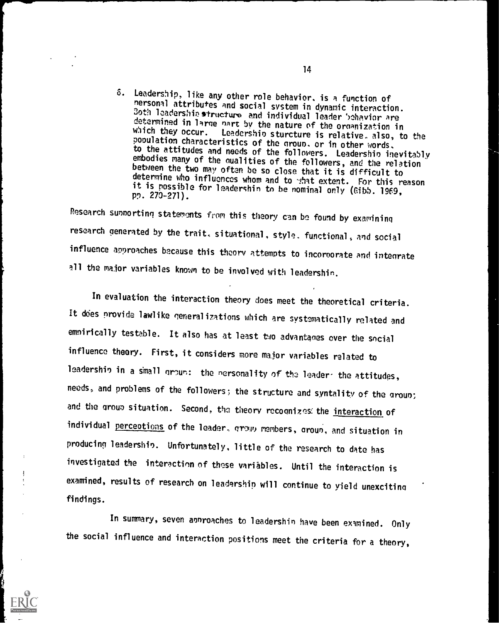6. Leadership, like any other role behavior, is a function of<br>nersonal attributes and social system in dynamic interaction.<br>Both leadership structure and individual leader behavior are<br>determined in large part by the natur population characteristics of the group, or in other words,<br>to the attitudes and needs of the followers. Leadership inevitably embodies many of the qualities of the followers, and the relation between the two may often be so close that it is difficult to determine who influences whom and to what extent. For this reason it is possible for leadershin to be nominal only (Gibb. 1969, pp. 270-271).

Research sunnortinq statements from this theory can be found by examining research generated by the trait, situational, style. functional, and social influence approaches because this theory attempts to incorporate and integrate all the major variables known to be involved with leadershin.

In evaluation the interaction theory does meet the theoretical criteria. It does provide lawlike generalizations which are systematically related and emnirically testable. It also has at least two advantanes over the social influence theory. First, it considers more major variables related to leadership in a small groun: the nersonality of the leader- the attitudes, needs, and problems of the followers; the structure and syntality of the group; and the group situation. Second, the theory recognizes: the interaction of individual perceptions of the leader, grown members, groun, and situation in producing leadershin. Unfortunately, little of the research to date has investigated the interaction of these variables. Until the interaction is examined, results of research on leadership will continue to yield unexciting findings.

In summary, seven annroaches to leadershin have been examined. Only the social influence and interaction positions meet the criteria for a theory,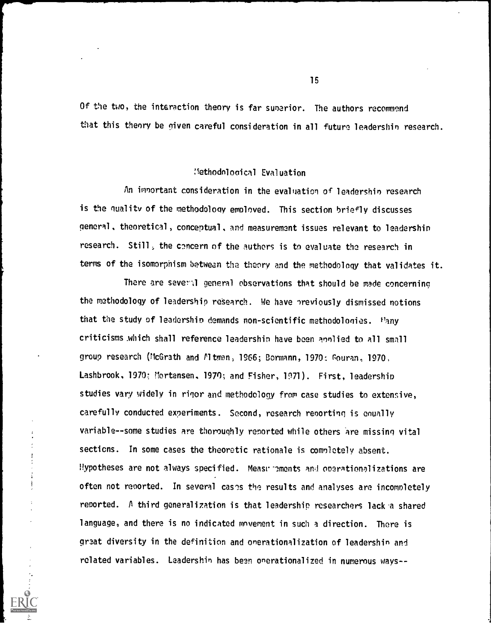Of the two, the interaction theory is far sunerior. The authors recommend that this theory be given careful consideration in all future leadershin research.

### :lethodnlooical Evaluation

An imnortant consideration in the evaluation of leadershin research is the quality of the methodology employed. This section briefly discusses general, theoretical, conceptual, and measurement issues relevant to leadershin research. Still, the concern of the authors is to evaluate the research in terms of the isomorphism between the theory and the methodology that validates it.

There are several general observations that should be made concerning the methodology of leadership research. We have nreviously dismissed notions that the study of leadership demands non-scientific methodologies. Pany criticisms .which shall reference leadershin have been ennlied to all small group research (McGrath and Mtman, 1966; Bormann, 1970; Gouran, 1970. Lashbrook, 1970; Mortensen, 1970; and Fisher, 1971). First, leadership studies vary widely in rigor and methodology from case studies to extensive, carefully conducted experiments. Second, research renorting is enually variable--some studies are thoroughly reported while others are missing vital sections. In some cases the theoretic rationale is comnletely absent. Hypotheses are not always specified. Measurements and operationalizations are often not reported. In several cases the results and analyses are incompletely reported. A third generalization is that leadership researchers lack a shared language, and there is no indicated movement in such a direction. There is great diversity in the definition and onerationalization of leadershin and related variables. Leadershin has been onerationalized in numerous ways --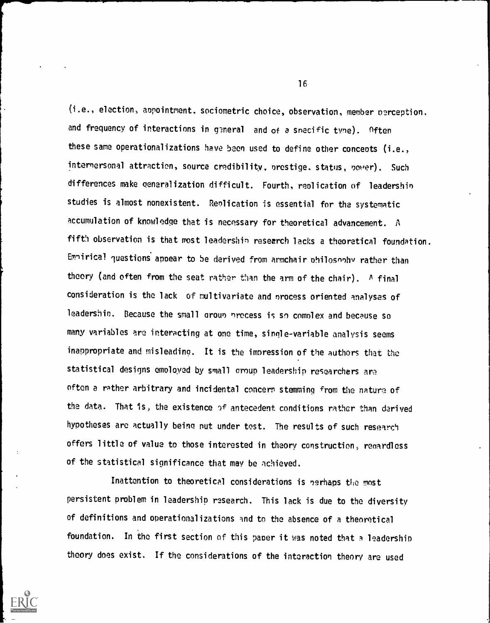(i.e., election, appointment. sociometric choice, observation, member perception, and frequency of interactions in general and of a snecific tyne). Often these same operationalizations have been used to define other concepts (i.e., internersonal attraction, source credibility, prestige. status, power). Such differences make generalization difficult. Fourth, replication of leadershin studies is almost nonexistent. Replication is essential for the systematic accumulation of knowledge that is necessary for theoretical advancement. A fifth observation is that most leadershin research lacks a theoretical foundation. Emniricai guestions appear to be derived from armchair philosnnhv rather than theory (and often from the seat rather than the arm of the chair). A final consideration is the lack of multivariate and nrocess oriented analyses of leadershin. Because the small group precess is so complex and because so many variables are interacting at one time, single-variable analysis seems inappropriate and misleading. It is the impression of the authors that the statistical designs employed by small croup leadership researchers are often a rather arbitrary and incidental concern stemming from the nature of the data. That is, the existence of antecedent conditions rather than derived hypotheses are actually being nut under test. The results of such research offers little of value to those interested in theory construction, renardless of the statistical significance that may be achieved.

Inattention to theoretical considerations is nerhaps the most persistent problem in leadership research. This lack is due to the diversity of definitions and operationalizations and to the absence of a theoretical foundation. In the first section of this paper it was noted that a leadership theory does exist, If the considerations of the interaction theory are used

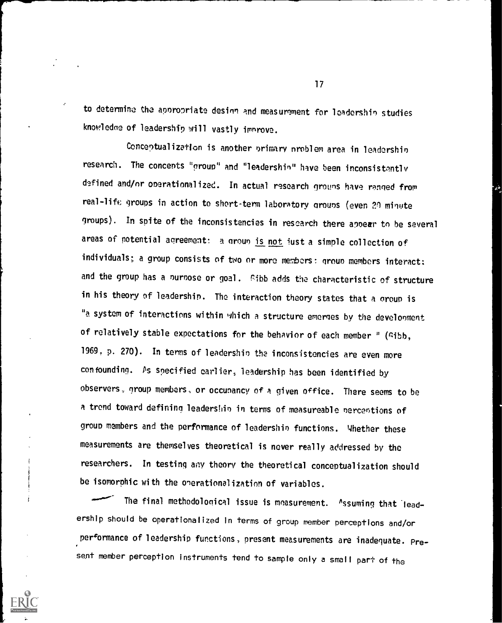to determine the appropriate desinn and measurement for leadershin studies knowledoe of leadership will vastly imnrove.

Conceptualization is another nrimary nroblem area in leadershin research. The concepts "group" and "leadershin" have been inconsistently defined and/or operationalized. In actual research groups have ranged from real-life groups in action to short-term laboratory groups (even 20 minute groups). In spite of the inconsistencies in research there appear to be several areas of potential agreement: a group is not just a simple collection of individuals; a group consists of two or more members: group members interact: and the group has a nurnose or goal. Gibb adds the characteristic of structure in his theory of leadership. The interaction theory states that a croup is "a system of interactions within which a structure emerges by the development of relatively stable expectations for the behavior of each member " (Gibb, 1969. p. 270). In terms of leadershin the inconsistencies are even more confounding. Ps specified earlier, leadership has been identified by observers, group members, or occunancy of a given office. There seems to be a trend toward defining leadership in terms of measureable perceptions of group members and the performance of leadershin functions. Whether these measurements are themselves theoretical is never really addressed by the researchers. In testing any theory the theoretical conceptualization should be isomorphic with the onerationalization of variables.

The final methodological issue is measurement. ^ssuming that leadership should be operationalized in terms of group member perceptions and/or performance of leadership functions, present measurements are inadequate. Present member perception instruments tend to sample only a small part of the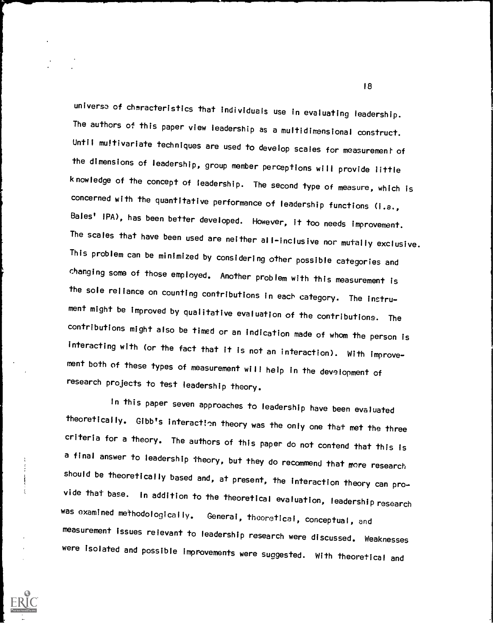universe of characteristics that individuals use in evaluating leadership. The authors of this paper view leadership as a multidimensional construct. Until multivariate techniques are used to develop scales for measurement of the dimensions of leadership, group member perceptions will provide little knowledge of the concept of leadership. The second type of measure, which is concerned with the quantitative performance of leadership functions (i.e., Bales' IPA), has been better developed. However, it too needs improvement. The scales that have been used are neither all-inclusive nor mutally exclusive. This problem can be minimized by considering other possible categories and changing some of those employed. Another problem with this measurement is the sole reliance on counting contributions in each category. The instrument might be improved by qualitative evaluation of the contributions. The contributions might also be timed or an indication made of whom the person is interacting with (or the fact that it is not an interaction). With improvement both of these types of measurement will help in the development of research projects to test leadership theory.

In this paper seven approaches to leadership have been evaluated theoretically. Gibb's interaction theory was the only one that met the three criteria for a theory. The authors of this paper do not contend that this is a final answer to leadership theory, but they do recommend that more research should be theoretically based and, at present, the interaction theory can provide that base. In addition to the theoretical evaluation, leadership research was examined methodologically. General, theoretical, conceptual, and measurement issues relevant to leadership research were discussed. Weaknesses were isolated and possible improvements were suggested. With theoretical and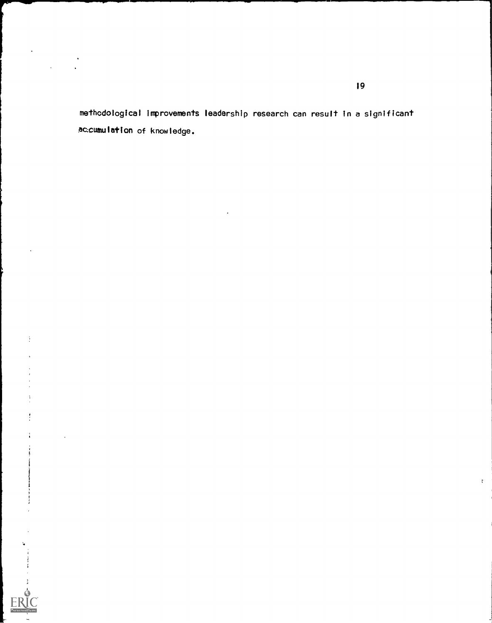methodological improvements leadership research can result in a significant accumulation of knowledge.

 $\ddot{\ddot{\phantom{a}}}$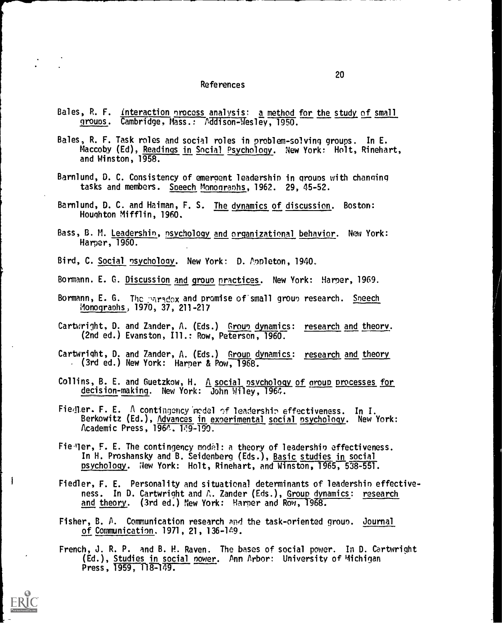#### References

- Bales, R. F. interaction process analysis: a method for the study of small grows. Cambridge, Mass.: Addison-Wesley, 1950.
- Bales, R. F. Task roles and social roles in problem-solving groups. In E. Maccoby (Ed), Readings in Social Psychology. New York: Holt, Rinehart, and Winston, 1958.
- Barnlund, D. C. Consistency of emergent leadershin in groups with changing tasks and members. Soeech Monographs, 1962. 29, 45-52.
- Barnlund, D. C. and Heiman, F. S. The dynamics of discussion. Boston: Houghton Mifflin, 1960.
- Bass, B. M. Leadership, psychology and organizational behavior. New York: Harper, 1960.
- Bird, C. Social psychology. New York: D. Annleton, 1940.
- Bormann. E. G. Discussion and group practices. New York: Harper, 1969.
- Bormann, E. G. The paradox and promise of small group research. <u>Sneech</u> Monographs, 1970, 37, 211-217
- Cartwright, D. and Zander, A. (Eds.) <u>Group dynamic</u>s: <u>research and theory</u>. (2nd ed.) Evanston, Ill.: Row, Peterson, 1960.
- Lartwright, D. and Zander, A. (Eds.) <u>Group dynamics</u>: <u>research and theory</u> . (3rd ed.) New York: Harper & Pow, 1968.
- Collins,  $B_1$  E. and Guetzkow, H.  $A$  <u>social psychology of oroup processes for</u> decision-making. New York: John Wiley, 1964.
- Fiedler. F. E.  $\Lambda$  contingency redel of leadership effectiveness. In I. Berkowitz (Ed.), <u>Advances in experimental social psychology</u>. New York: Academic Press, 1964. 149-199.
- Fieller, F. E. The contingency modal: a theory of leadership effectiveness. In H. Proshansky and B. Seidenberg (Eds.), Basic studies in social psychology. New York: Holt, Rinehart, and Winston, 1965, 538-551.

- Fiedler, F. E. Personality and situational determinants of leadershin effectiveness. In D. Cartwright and  $\wedge$ . Zander (Eds.), Group dynamics: research and theory. (3rd ed.) New York: Harper and Row, 1968.
- Fisher, B. A. Communication research And the task-oriented group. Journal of Communication. 1971, 21, 136-149.
- French, J. R. P. and B. H. Raven. The bases of social power. In D. Cartwright (Ed.), Studies in social nower. Ann Arbor: University of Michigan Press,  $1959, 118-179.$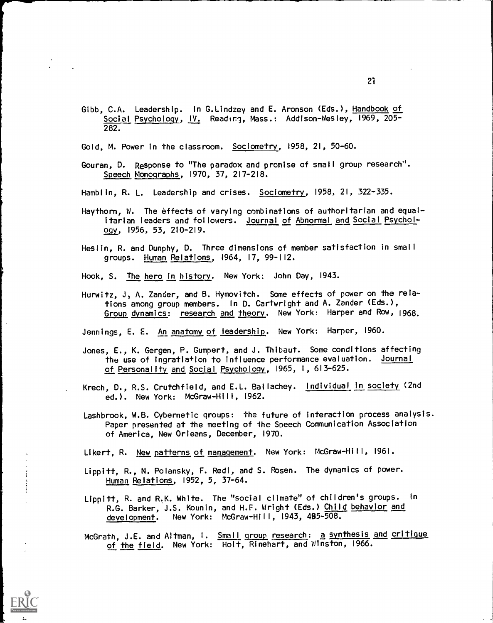- Gibb, C.A. Leadership. In G.Lindzey and E. Aronson (Eds.), Handbook of Social Psychology, IV. Reading, Mass.: Addison-Wesley, 1969, 205- 282.
- Gold, M. Power in the classroom. Sociometry, 1958, 21, 50-60.
- Gouran, D. Response to "The paradox and promise of small group research".<br>Speech Monographs, 1970, 37, 217-218.
- Hamblin, R. L. Leadership and crises. Sociometry, 1958, 21, 322-335.
- Haythorn, W. The effects of varying combinations of authoritarian and equalitarian leaders and followers. Journal of Abnormal and Social Psychol-291, 1956, 53, 210-219.
- Heslin, R. and Dunphy, D. Three dimensions of member satisfaction in small groups. Human Relations, 1964, 17, 99-112.
- Hook, S. The hero in history. New York: John Day, 1943.
- Hurwitz, J, A. Zander, and B. Hymovitch. Some effects of power on the relations among group members. In D. Cartwright and A. Zander (Eds.), Group dynamics: research and theory. New York: Harper and Row, 1968.

Jennings, E. E. An anatomy of leadership. New York: Harper, 1960.

- Jones, E., K. Gergen, P. Gumpert, and J. Thibaut. Some conditions affecting the use of ingratiation to influence performance evaluation. Journal of Personality and Social Psychology, 1965, 1, 613-625.
- Krech, D., R.S. Crutchfield, and E.L. Ballachey. Individual in society (2nd ed.). New York: McGraw-Hill, 1962.
- Lashbrook, W.B. Cybernetic groups: the future of interaction process analysis. Paper presented at the meeting of the Speech Communication Association of America, New Orleans, December, 1970.

Likert, R. <u>New patterns of management</u>. New York: McGraw-Hill, 1961.

- Lippitt, R., N. Polansky, F. Redl, and S. Rosen. The dynamics of power. Human Relations, 1952, 5, 37-64.
- Lippitt, R. and R.K. White. The "social climate" of children's groups. In R.G. Barker, J.S. Kounin, and H.F. Wright (Eds.) Child behavior and development. New York: McGraw-Hill, 1943, 485-508.
- McGrath, J.E. and Altman, I. Small group research: a synthesis and critique of the field. New York: Holt, Rinehart, and Winston, 1966.